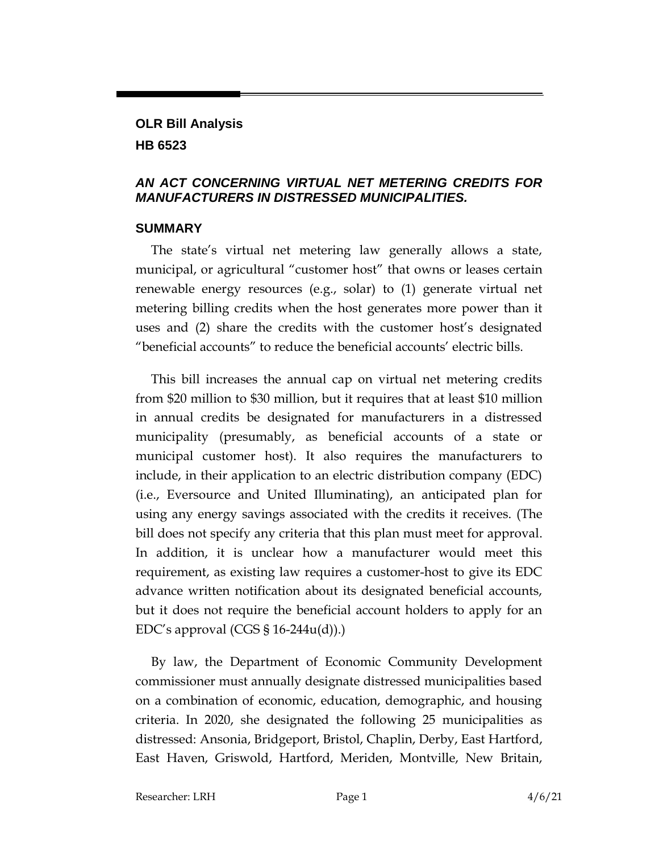## **OLR Bill Analysis HB 6523**

## *AN ACT CONCERNING VIRTUAL NET METERING CREDITS FOR MANUFACTURERS IN DISTRESSED MUNICIPALITIES.*

## **SUMMARY**

The state's virtual net metering law generally allows a state, municipal, or agricultural "customer host" that owns or leases certain renewable energy resources (e.g., solar) to (1) generate virtual net metering billing credits when the host generates more power than it uses and (2) share the credits with the customer host's designated "beneficial accounts" to reduce the beneficial accounts' electric bills.

This bill increases the annual cap on virtual net metering credits from \$20 million to \$30 million, but it requires that at least \$10 million in annual credits be designated for manufacturers in a distressed municipality (presumably, as beneficial accounts of a state or municipal customer host). It also requires the manufacturers to include, in their application to an electric distribution company (EDC) (i.e., Eversource and United Illuminating), an anticipated plan for using any energy savings associated with the credits it receives. (The bill does not specify any criteria that this plan must meet for approval. In addition, it is unclear how a manufacturer would meet this requirement, as existing law requires a customer-host to give its EDC advance written notification about its designated beneficial accounts, but it does not require the beneficial account holders to apply for an EDC's approval (CGS  $\S$  16-244u(d)).

By law, the Department of Economic Community Development commissioner must annually designate distressed municipalities based on a combination of economic, education, demographic, and housing criteria. In 2020, she designated the following 25 municipalities as distressed: Ansonia, Bridgeport, Bristol, Chaplin, Derby, East Hartford, East Haven, Griswold, Hartford, Meriden, Montville, New Britain,